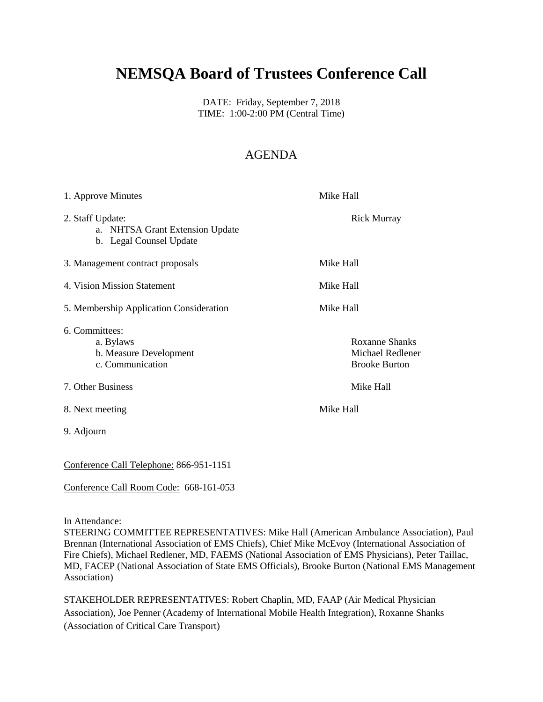# **NEMSQA Board of Trustees Conference Call**

DATE: Friday, September 7, 2018 TIME: 1:00-2:00 PM (Central Time)

## AGENDA

| 1. Approve Minutes                                                             | Mike Hall                                                         |
|--------------------------------------------------------------------------------|-------------------------------------------------------------------|
| 2. Staff Update:<br>a. NHTSA Grant Extension Update<br>b. Legal Counsel Update | <b>Rick Murray</b>                                                |
| 3. Management contract proposals                                               | Mike Hall                                                         |
| 4. Vision Mission Statement                                                    | Mike Hall                                                         |
| 5. Membership Application Consideration                                        | Mike Hall                                                         |
| 6. Committees:<br>a. Bylaws<br>b. Measure Development<br>c. Communication      | <b>Roxanne Shanks</b><br>Michael Redlener<br><b>Brooke Burton</b> |
| 7. Other Business                                                              | Mike Hall                                                         |
| 8. Next meeting                                                                | Mike Hall                                                         |
| 9. Adjourn                                                                     |                                                                   |
|                                                                                |                                                                   |

Conference Call Telephone: 866-951-1151

### Conference Call Room Code: 668-161-053

In Attendance:

STEERING COMMITTEE REPRESENTATIVES: Mike Hall (American Ambulance Association), Paul Brennan (International Association of EMS Chiefs), Chief Mike McEvoy (International Association of Fire Chiefs), Michael Redlener, MD, FAEMS (National Association of EMS Physicians), Peter Taillac, MD, FACEP (National Association of State EMS Officials), Brooke Burton (National EMS Management Association)

STAKEHOLDER REPRESENTATIVES: Robert Chaplin, MD, FAAP (Air Medical Physician Association), Joe Penner (Academy of International Mobile Health Integration), Roxanne Shanks (Association of Critical Care Transport)